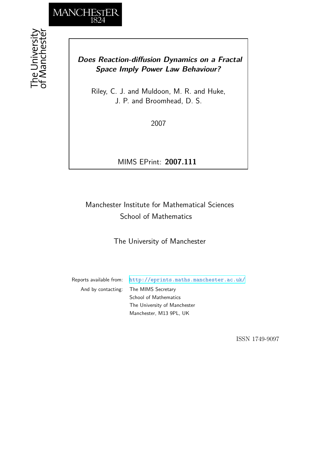

# *Does Reaction-diffusion Dynamics on a Fractal Space Imply Power Law Behaviour?*

Riley, C. J. and Muldoon, M. R. and Huke, J. P. and Broomhead, D. S.

2007

MIMS EPrint: **2007.111**

# Manchester Institute for Mathematical Sciences School of Mathematics

The University of Manchester

Reports available from: <http://eprints.maths.manchester.ac.uk/> And by contacting: The MIMS Secretary School of Mathematics The University of Manchester

Manchester, M13 9PL, UK

ISSN 1749-9097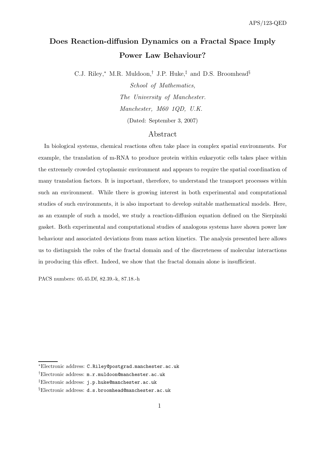# Does Reaction-diffusion Dynamics on a Fractal Space Imply Power Law Behaviour?

C.J. Riley,<sup>∗</sup> M.R. Muldoon,† J.P. Huke,‡ and D.S. Broomhead§

School of Mathematics, The University of Manchester. Manchester, M60 1QD, U.K. (Dated: September 3, 2007)

### Abstract

In biological systems, chemical reactions often take place in complex spatial environments. For example, the translation of m-RNA to produce protein within eukaryotic cells takes place within the extremely crowded cytoplasmic environment and appears to require the spatial coordination of many translation factors. It is important, therefore, to understand the transport processes within such an environment. While there is growing interest in both experimental and computational studies of such environments, it is also important to develop suitable mathematical models. Here, as an example of such a model, we study a reaction-diffusion equation defined on the Sierpinski gasket. Both experimental and computational studies of analogous systems have shown power law behaviour and associated deviations from mass action kinetics. The analysis presented here allows us to distinguish the roles of the fractal domain and of the discreteness of molecular interactions in producing this effect. Indeed, we show that the fractal domain alone is insufficient.

PACS numbers: 05.45.Df, 82.39.-k, 87.18.-h

<sup>∗</sup>Electronic address: C.Riley@postgrad.manchester.ac.uk

<sup>†</sup>Electronic address: m.r.muldoon@manchester.ac.uk

<sup>‡</sup>Electronic address: j.p.huke@manchester.ac.uk

<sup>§</sup>Electronic address: d.s.broomhead@manchester.ac.uk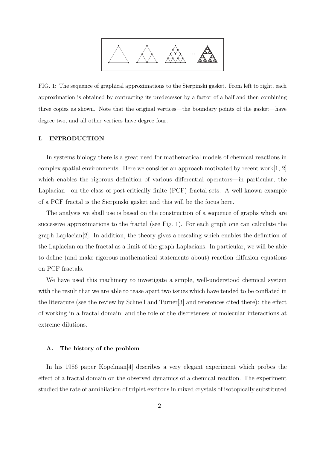

FIG. 1: The sequence of graphical approximations to the Sierpinski gasket. From left to right, each approximation is obtained by contracting its predecessor by a factor of a half and then combining three copies as shown. Note that the original vertices—the boundary points of the gasket—have degree two, and all other vertices have degree four.

#### I. INTRODUCTION

In systems biology there is a great need for mathematical models of chemical reactions in complex spatial environments. Here we consider an approach motivated by recent work $[1, 2]$ which enables the rigorous definition of various differential operators—in particular, the Laplacian—on the class of post-critically finite (PCF) fractal sets. A well-known example of a PCF fractal is the Sierpinski gasket and this will be the focus here.

The analysis we shall use is based on the construction of a sequence of graphs which are successive approximations to the fractal (see Fig. 1). For each graph one can calculate the graph Laplacian[2]. In addition, the theory gives a rescaling which enables the definition of the Laplacian on the fractal as a limit of the graph Laplacians. In particular, we will be able to define (and make rigorous mathematical statements about) reaction-diffusion equations on PCF fractals.

We have used this machinery to investigate a simple, well-understood chemical system with the result that we are able to tease apart two issues which have tended to be conflated in the literature (see the review by Schnell and Turner[3] and references cited there): the effect of working in a fractal domain; and the role of the discreteness of molecular interactions at extreme dilutions.

### A. The history of the problem

In his 1986 paper Kopelman[4] describes a very elegant experiment which probes the effect of a fractal domain on the observed dynamics of a chemical reaction. The experiment studied the rate of annihilation of triplet excitons in mixed crystals of isotopically substituted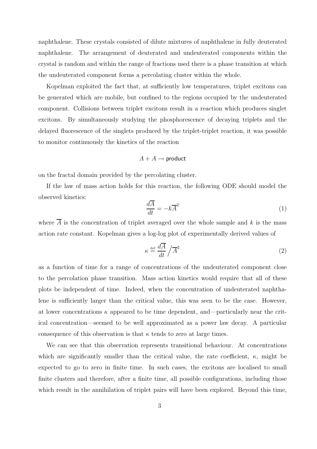naphthalene. These crystals consisted of dilute mixtures of naphthalene in fully deuterated naphthalene. The arrangement of deuterated and undeuterated components within the crystal is random and within the range of fractions used there is a phase transition at which the undeuterated component forms a percolating cluster within the whole.

Kopelman exploited the fact that, at sufficiently low temperatures, triplet excitons can be generated which are mobile, but confined to the regions occupied by the undeuterated component. Collisions between triplet excitons result in a reaction which produces singlet excitons. By simultaneously studying the phosphorescence of decaying triplets and the delayed fluorescence of the singlets produced by the triplet-triplet reaction, it was possible to monitor continuously the kinetics of the reaction

# $A + A \rightarrow$  product

on the fractal domain provided by the percolating cluster.

If the law of mass action holds for this reaction, the following ODE should model the observed kinetics:

$$
\frac{d\overline{A}}{dt} = -k\overline{A}^2\tag{1}
$$

where  $\overline{A}$  is the concentration of triplet averaged over the whole sample and k is the mass action rate constant. Kopelman gives a log-log plot of experimentally derived values of

$$
\kappa \stackrel{\text{def}}{=} \frac{d\overline{A}}{dt} / \overline{A}^2 \tag{2}
$$

as a function of time for a range of concentrations of the undeuterated component close to the percolation phase transition. Mass action kinetics would require that all of these plots be independent of time. Indeed, when the concentration of undeuterated naphthalene is sufficiently larger than the critical value, this was seen to be the case. However, at lower concentrations  $\kappa$  appeared to be time dependent, and—particularly near the critical concentration—seemed to be well approximated as a power law decay. A particular consequence of this observation is that  $\kappa$  tends to zero at large times.

We can see that this observation represents transitional behaviour. At concentrations which are significantly smaller than the critical value, the rate coefficient,  $\kappa$ , might be expected to go to zero in finite time. In such cases, the excitons are localised to small finite clusters and therefore, after a finite time, all possible configurations, including those which result in the annihilation of triplet pairs will have been explored. Beyond this time,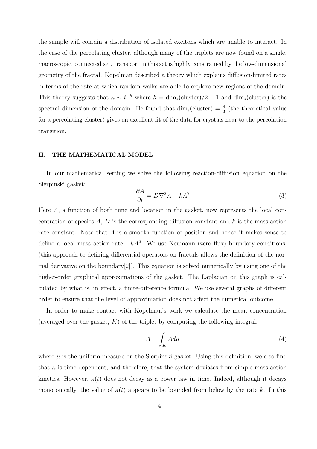the sample will contain a distribution of isolated excitons which are unable to interact. In the case of the percolating cluster, although many of the triplets are now found on a single, macroscopic, connected set, transport in this set is highly constrained by the low-dimensional geometry of the fractal. Kopelman described a theory which explains diffusion-limited rates in terms of the rate at which random walks are able to explore new regions of the domain. This theory suggests that  $\kappa \sim t^{-h}$  where  $h = \dim_s(\text{cluster})/2 - 1$  and  $\dim_s(\text{cluster})$  is the spectral dimension of the domain. He found that  $\dim_s(\text{cluster}) = \frac{4}{3}$  (the theoretical value for a percolating cluster) gives an excellent fit of the data for crystals near to the percolation transition.

### II. THE MATHEMATICAL MODEL

In our mathematical setting we solve the following reaction-diffusion equation on the Sierpinski gasket:

$$
\frac{\partial A}{\partial t} = D\nabla^2 A - kA^2 \tag{3}
$$

Here A, a function of both time and location in the gasket, now represents the local concentration of species  $A, D$  is the corresponding diffusion constant and  $k$  is the mass action rate constant. Note that A is a smooth function of position and hence it makes sense to define a local mass action rate  $-kA^2$ . We use Neumann (zero flux) boundary conditions, (this approach to defining differential operators on fractals allows the definition of the normal derivative on the boundary[2]). This equation is solved numerically by using one of the higher-order graphical approximations of the gasket. The Laplacian on this graph is calculated by what is, in effect, a finite-difference formula. We use several graphs of different order to ensure that the level of approximation does not affect the numerical outcome.

In order to make contact with Kopelman's work we calculate the mean concentration (averaged over the gasket,  $K$ ) of the triplet by computing the following integral:

$$
\overline{A} = \int_{K} A d\mu \tag{4}
$$

where  $\mu$  is the uniform measure on the Sierpinski gasket. Using this definition, we also find that  $\kappa$  is time dependent, and therefore, that the system deviates from simple mass action kinetics. However,  $\kappa(t)$  does not decay as a power law in time. Indeed, although it decays monotonically, the value of  $\kappa(t)$  appears to be bounded from below by the rate k. In this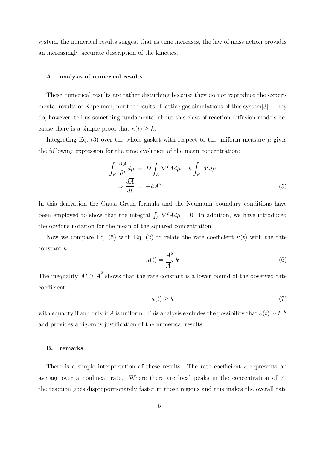system, the numerical results suggest that as time increases, the law of mass action provides an increasingly accurate description of the kinetics.

#### A. analysis of numerical results

These numerical results are rather disturbing because they do not reproduce the experimental results of Kopelman, nor the results of lattice gas simulations of this system[3]. They do, however, tell us something fundamental about this class of reaction-diffusion models because there is a simple proof that  $\kappa(t) \geq k$ .

Integrating Eq. (3) over the whole gasket with respect to the uniform measure  $\mu$  gives the following expression for the time evolution of the mean concentration:

$$
\int_{K} \frac{\partial A}{\partial t} d\mu = D \int_{K} \nabla^{2} A d\mu - k \int_{K} A^{2} d\mu
$$
\n
$$
\Rightarrow \frac{d\overline{A}}{dt} = -k\overline{A^{2}}
$$
\n(5)

In this derivation the Gauss-Green formula and the Neumann boundary conditions have been employed to show that the integral  $\int_K \nabla^2 A d\mu = 0$ . In addition, we have introduced the obvious notation for the mean of the squared concentration.

Now we compare Eq. (5) with Eq. (2) to relate the rate coefficient  $\kappa(t)$  with the rate constant k:

$$
\kappa(t) = \frac{\overline{A^2}}{\overline{A}^2} \, k \tag{6}
$$

The inequality  $\overline{A^2} \geq \overline{A}^2$  shows that the rate constant is a lower bound of the observed rate coefficient

$$
\kappa(t) \ge k \tag{7}
$$

with equality if and only if A is uniform. This analysis excludes the possibility that  $\kappa(t) \sim t^{-h}$ and provides a rigorous justification of the numerical results.

#### B. remarks

There is a simple interpretation of these results. The rate coefficient  $\kappa$  represents an average over a nonlinear rate. Where there are local peaks in the concentration of A, the reaction goes disproportionately faster in those regions and this makes the overall rate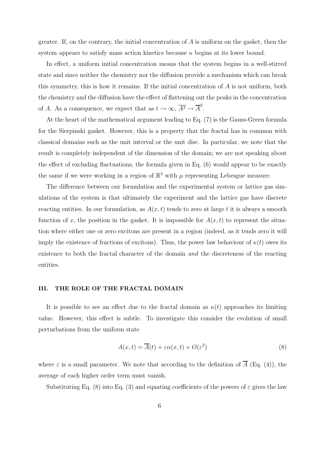greater. If, on the contrary, the initial concentration of  $A$  is uniform on the gasket, then the system appears to satisfy mass action kinetics because  $\kappa$  begins at its lower bound.

In effect, a uniform initial concentration means that the system begins in a well-stirred state and since neither the chemistry nor the diffusion provide a mechanism which can break this symmetry, this is how it remains. If the initial concentration of  $A$  is not uniform, both the chemistry and the diffusion have the effect of flattening out the peaks in the concentration of A. As a consequence, we expect that as  $t \to \infty$ ,  $\overline{A^2} \to \overline{A}^2$ .

At the heart of the mathematical argument leading to Eq. (7) is the Gauss-Green formula for the Sierpinski gasket. However, this is a property that the fractal has in common with classical domains such as the unit interval or the unit disc. In particular, we note that the result is completely independent of the dimension of the domain; we are not speaking about the effect of excluding fluctuations, the formula given in Eq. (6) would appear to be exactly the same if we were working in a region of  $\mathbb{R}^3$  with  $\mu$  representing Lebesgue measure.

The difference between our formulation and the experimental system or lattice gas simulations of the system is that ultimately the experiment and the lattice gas have discrete reacting entities. In our formulation, as  $A(x, t)$  tends to zero at large t it is always a smooth function of x, the position in the gasket. It is impossible for  $A(x, t)$  to represent the situation where either one or zero excitons are present in a region (indeed, as it tends zero it will imply the existence of fractions of excitons). Thus, the power law behaviour of  $\kappa(t)$  owes its existence to both the fractal character of the domain and the discreteness of the reacting entities.

## III. THE ROLE OF THE FRACTAL DOMAIN

It is possible to see an effect due to the fractal domain as  $\kappa(t)$  approaches its limiting value. However, this effect is subtle. To investigate this consider the evolution of small perturbations from the uniform state

$$
A(x,t) = \overline{A}(t) + \varepsilon \alpha(x,t) + O(\varepsilon^2)
$$
\n(8)

where  $\varepsilon$  is a small parameter. We note that according to the definition of  $\overline{A}$  (Eq. (4)), the average of each higher order term must vanish.

Substituting Eq. (8) into Eq. (3) and equating coefficients of the powers of  $\varepsilon$  gives the law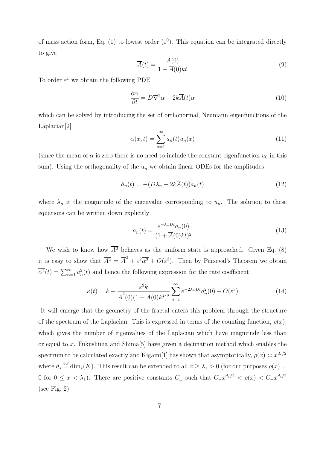of mass action form, Eq. (1) to lowest order  $(\varepsilon^0)$ . This equation can be integrated directly to give

$$
\overline{A}(t) = \frac{\overline{A}(0)}{1 + \overline{A}(0)kt} \tag{9}
$$

To order  $\varepsilon^1$  we obtain the following PDE

$$
\frac{\partial \alpha}{\partial t} = D\nabla^2 \alpha - 2k\overline{A}(t)\alpha \tag{10}
$$

which can be solved by introducing the set of orthonormal, Neumann eigenfunctions of the Laplacian[2]

$$
\alpha(x,t) = \sum_{n=1}^{\infty} a_n(t) u_n(x)
$$
\n(11)

(since the mean of  $\alpha$  is zero there is no need to include the constant eigenfunction  $u_0$  in this sum). Using the orthogonality of the  $u_n$  we obtain linear ODEs for the amplitudes

$$
\dot{a}_n(t) = -(D\lambda_n + 2k\overline{A}(t))a_n(t)
$$
\n(12)

where  $\lambda_n$  it the magnitude of the eigenvalue corresponding to  $u_n$ . The solution to these equations can be written down explicitly

$$
a_n(t) = \frac{e^{-\lambda_n D t} a_n(0)}{(1 + \overline{A}(0)kt)^2}
$$
\n(13)

We wish to know how  $\overline{A^2}$  behaves as the uniform state is approached. Given Eq. (8) it is easy to show that  $\overline{A^2} = \overline{A}^2 + \varepsilon^2 \overline{\alpha^2} + O(\varepsilon^3)$ . Then by Parseval's Theorem we obtain  $\overline{\alpha^2}(t) = \sum_{n=1}^{\infty} a_n^2(t)$  and hence the following expression for the rate coefficient

$$
\kappa(t) = k + \frac{\varepsilon^2 k}{\overline{A}^2(0)(1 + \overline{A}(0)kt)^2} \sum_{n=1}^{\infty} e^{-2\lambda_n Dt} a_n^2(0) + O(\varepsilon^3)
$$
\n(14)

It will emerge that the geometry of the fractal enters this problem through the structure of the spectrum of the Laplacian. This is expressed in terms of the counting function,  $\rho(x)$ , which gives the number of eigenvalues of the Laplacian which have magnitude less than or equal to x. Fukushima and Shima[5] have given a decimation method which enables the spectrum to be calculated exactly and Kigami<sup>[1]</sup> has shown that asymptotically,  $\rho(x) \asymp x^{d_s/2}$ where  $d_s \stackrel{\text{def}}{=} \dim_s(K)$ . This result can be extended to all  $x \geq \lambda_1 > 0$  (for our purposes  $\rho(x) =$ 0 for  $0 \leq x < \lambda_1$ ). There are positive constants  $C_{\pm}$  such that  $C_{-}x^{d_s/2} < \rho(x) < C_{+}x^{d_s/2}$ (see Fig. 2).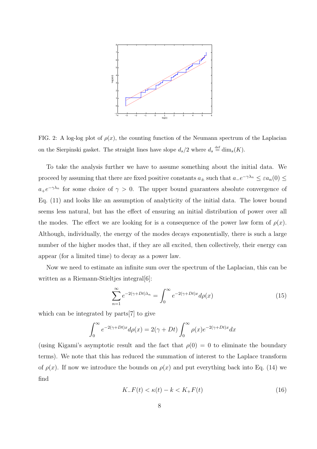

FIG. 2: A log-log plot of  $\rho(x)$ , the counting function of the Neumann spectrum of the Laplacian on the Sierpinski gasket. The straight lines have slope  $d_s/2$  where  $d_s \stackrel{\text{def}}{=} \dim_s(K)$ .

To take the analysis further we have to assume something about the initial data. We proceed by assuming that there are fixed positive constants  $a_{\pm}$  such that  $a_{-}e^{-\gamma \lambda_n} \leq \varepsilon a_n(0) \leq$  $a_+e^{-\gamma\lambda_n}$  for some choice of  $\gamma > 0$ . The upper bound guarantees absolute convergence of Eq. (11) and looks like an assumption of analyticity of the initial data. The lower bound seems less natural, but has the effect of ensuring an initial distribution of power over all the modes. The effect we are looking for is a consequence of the power law form of  $\rho(x)$ . Although, individually, the energy of the modes decays exponentially, there is such a large number of the higher modes that, if they are all excited, then collectively, their energy can appear (for a limited time) to decay as a power law.

Now we need to estimate an infinite sum over the spectrum of the Laplacian, this can be written as a Riemann-Stieltjes integral<sup>[6]</sup>:

$$
\sum_{n=1}^{\infty} e^{-2(\gamma + Dt)\lambda_n} = \int_0^{\infty} e^{-2(\gamma + Dt)x} d\rho(x)
$$
 (15)

which can be integrated by parts[7] to give

$$
\int_0^\infty e^{-2(\gamma + Dt)x} d\rho(x) = 2(\gamma + Dt) \int_0^\infty \rho(x) e^{-2(\gamma + Dt)x} dx
$$

(using Kigami's asymptotic result and the fact that  $\rho(0) = 0$  to eliminate the boundary terms). We note that this has reduced the summation of interest to the Laplace transform of  $\rho(x)$ . If now we introduce the bounds on  $\rho(x)$  and put everything back into Eq. (14) we find

$$
K_{-}F(t) < \kappa(t) - k < K_{+}F(t) \tag{16}
$$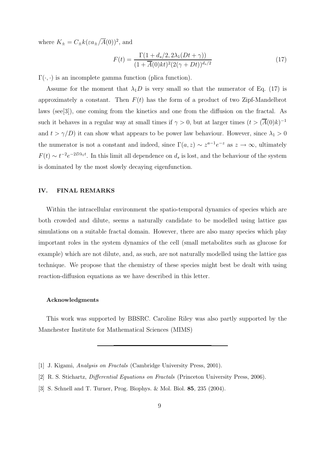where  $K_{\pm}=C_{\pm}k(\varepsilon a_{\pm}/\overline{A}(0))^2$ , and

$$
F(t) = \frac{\Gamma(1 + d_s/2, 2\lambda_1(Dt + \gamma))}{(1 + \overline{A}(0)kt)^2 (2(\gamma + Dt))^{d_s/2}}
$$
(17)

 $\Gamma(\cdot, \cdot)$  is an incomplete gamma function (plica function).

Assume for the moment that  $\lambda_1 D$  is very small so that the numerator of Eq. (17) is approximately a constant. Then  $F(t)$  has the form of a product of two Zipf-Mandelbrot laws (see[3]), one coming from the kinetics and one from the diffusion on the fractal. As such it behaves in a regular way at small times if  $\gamma > 0$ , but at larger times  $(t > (\overline{A}(0)k)^{-1})$ and  $t > \gamma/D$ ) it can show what appears to be power law behaviour. However, since  $\lambda_1 > 0$ the numerator is not a constant and indeed, since  $\Gamma(a, z) \sim z^{a-1} e^{-z}$  as  $z \to \infty$ , ultimately  $F(t) \sim t^{-2} e^{-2D\lambda_1 t}$ . In this limit all dependence on  $d_s$  is lost, and the behaviour of the system is dominated by the most slowly decaying eigenfunction.

## IV. FINAL REMARKS

Within the intracellular environment the spatio-temporal dynamics of species which are both crowded and dilute, seems a naturally candidate to be modelled using lattice gas simulations on a suitable fractal domain. However, there are also many species which play important roles in the system dynamics of the cell (small metabolites such as glucose for example) which are not dilute, and, as such, are not naturally modelled using the lattice gas technique. We propose that the chemistry of these species might best be dealt with using reaction-diffusion equations as we have described in this letter.

#### Acknowledgments

This work was supported by BBSRC. Caroline Riley was also partly supported by the Manchester Institute for Mathematical Sciences (MIMS)

<sup>[1]</sup> J. Kigami, Analysis on Fractals (Cambridge University Press, 2001).

<sup>[2]</sup> R. S. Stichartz, Differential Equations on Fractals (Princeton University Press, 2006).

<sup>[3]</sup> S. Schnell and T. Turner, Prog. Biophys. & Mol. Biol. 85, 235 (2004).